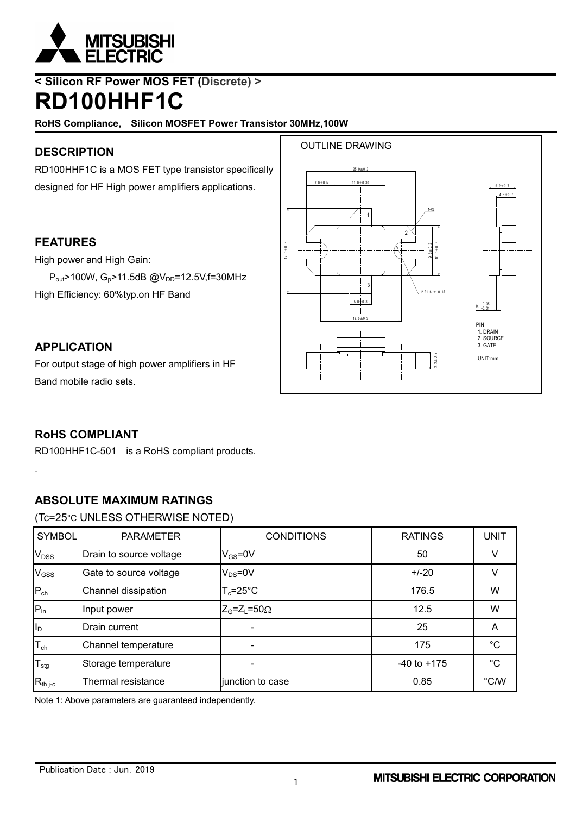

## **< Silicon RF Power MOS FET (Discrete) > RD100HHF1C**

**RoHS Compliance, Silicon MOSFET Power Transistor 30MHz,100W**

## **DESCRIPTION**

RD100HHF1C is a MOS FET type transistor specifically designed for HF High power amplifiers applications.

 $P_{out}$ >100W, G<sub>p</sub>>11.5dB @V<sub>DD</sub>=12.5V,f=30MHz



## High Efficiency: 60%typ.on HF Band

**FEATURES**

High power and High Gain:

### **APPLICATION**

For output stage of high power amplifiers in HF Band mobile radio sets.

## **RoHS COMPLIANT**

.

RD100HHF1C-501 is a RoHS compliant products.

## **ABSOLUTE MAXIMUM RATINGS**

(Tc=25°C UNLESS OTHERWISE NOTED)

| <b>SYMBOL</b>              | <b>PARAMETER</b>        | <b>CONDITIONS</b>              | <b>RATINGS</b>  | UNIT        |
|----------------------------|-------------------------|--------------------------------|-----------------|-------------|
| V <sub>DSS</sub>           | Drain to source voltage | $V_{GS} = 0V$                  | 50              | V           |
| V <sub>GSS</sub>           | Gate to source voltage  | $V_{DS} = 0V$                  | $+/-20$         | V           |
| $P_{ch}$                   | Channel dissipation     | $T_c = 25^{\circ}C$            | 176.5           | W           |
| $P_{in}$                   | Input power             | $Z_{G}$ = $Z_{L}$ =50 $\Omega$ | 12.5            | W           |
| I <sub>D</sub>             | Drain current           |                                | 25              | A           |
| $\mathsf{T}_{\mathsf{ch}}$ | Channel temperature     |                                | 175             | $^{\circ}C$ |
| $T_{\text{stg}}$           | Storage temperature     |                                | $-40$ to $+175$ | $^{\circ}C$ |
| $R_{th j-c}$               | Thermal resistance      | junction to case               | 0.85            | °C/W        |

Note 1: Above parameters are guaranteed independently.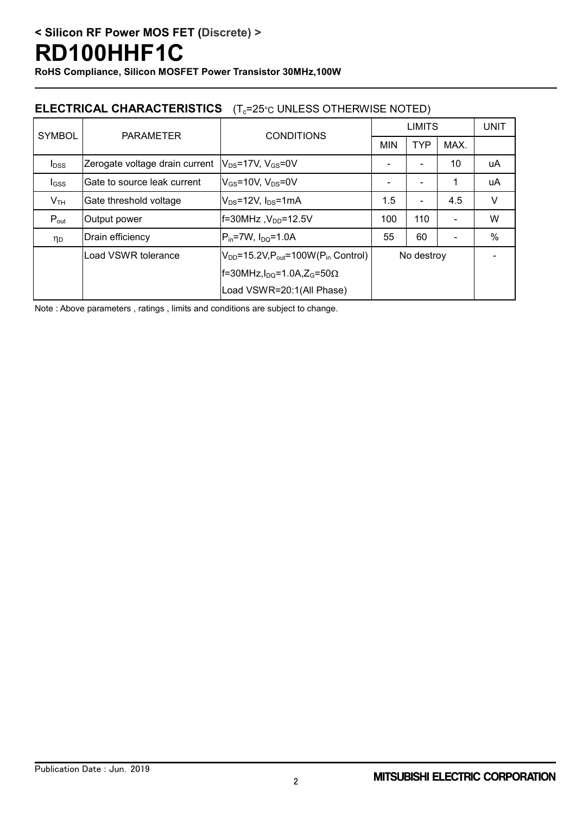**RoHS Compliance, Silicon MOSFET Power Transistor 30MHz,100W**

## **ELECTRICAL CHARACTERISTICS** (T<sub>c</sub>=25°C UNLESS OTHERWISE NOTED)

| <b>SYMBOL</b>    | <b>PARAMETER</b>               | <b>CONDITIONS</b>                                       | <b>LIMITS</b> |                          |      | <b>UNIT</b>   |
|------------------|--------------------------------|---------------------------------------------------------|---------------|--------------------------|------|---------------|
|                  |                                |                                                         | <b>MIN</b>    | <b>TYP</b>               | MAX. |               |
| $I_{DSS}$        | Zerogate voltage drain current | $V_{DS}$ =17V, $V_{GS}$ =0V                             |               |                          | 10   | uA            |
| $I_{GSS}$        | Gate to source leak current    | $V_{GS}$ =10V, $V_{DS}$ =0V                             |               |                          | 1    | uA            |
| V <sub>TH</sub>  | Gate threshold voltage         | $V_{DS}$ =12V, $I_{DS}$ =1mA                            | 1.5           | $\overline{\phantom{a}}$ | 4.5  | V             |
| $P_{\text{out}}$ | Output power                   | $f=30MHz$ , $V_{DD}=12.5V$                              | 100           | 110                      |      | W             |
| ηp               | Drain efficiency               | $ P_{in}=7W, I_{DO}=1.0A$                               | 55            | 60                       |      | $\frac{0}{0}$ |
|                  | Load VSWR tolerance            | $V_{DD}$ =15.2V, $P_{out}$ =100W( $P_{in}$ Control)     | No destroy    |                          |      |               |
|                  |                                | $f=30$ MHz, $I_{DQ}=1.0$ A, Z <sub>G</sub> =50 $\Omega$ |               |                          |      |               |
|                  |                                | Load VSWR=20:1(All Phase)                               |               |                          |      |               |

Note : Above parameters , ratings , limits and conditions are subject to change.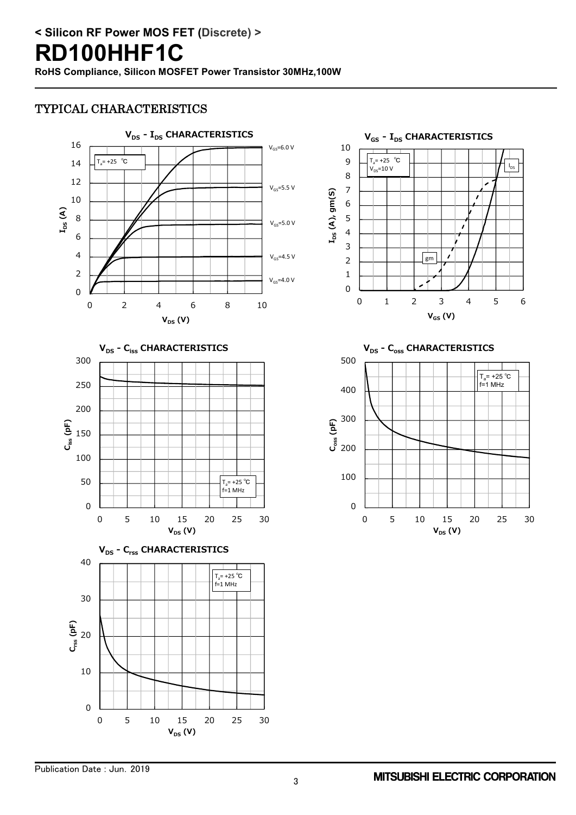### TYPICAL CHARACTERISTICS





 $\Omega$ 10 20 0 5 10 15 20 25 30 **Crss (pF) VDS (V)**



0 100  $\overline{a}$  200 300 **Coss (pF)** 400 500 0 5 10 15 20 25 30 **V**<sub>DS</sub> (V) **VDS - Coss CHARACTERISTICS** T<sub>a</sub>= +25 ℃<br>f=1 MHz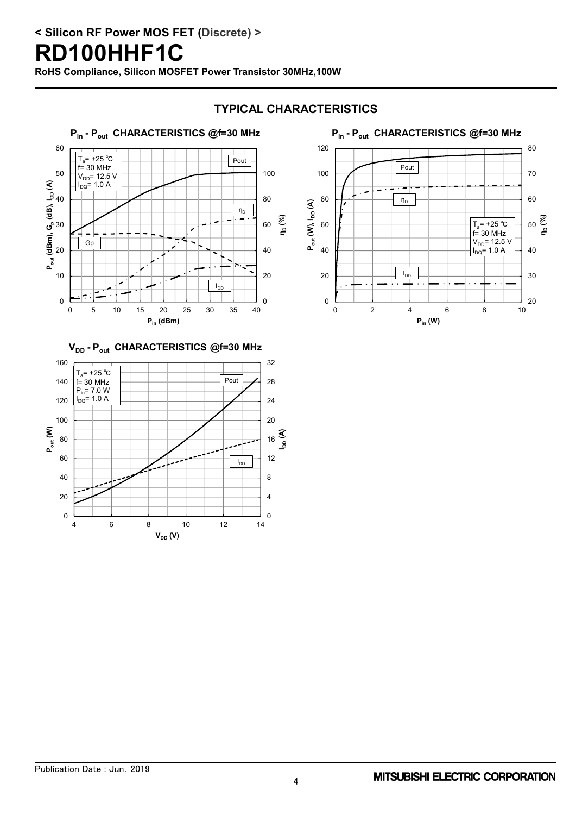## **< Silicon RF Power MOS FET (Discrete) >**

## **RD100HHF1C**

**RoHS Compliance, Silicon MOSFET Power Transistor 30MHz,100W**





#### 20 30 40 50 **ηD (%)** 60 70 80 0 20 40 60 80 100 120 0 2 4 6 8 10 **Pout (W), IDD (A) Pin (W) Pin - Pout CHARACTERISTICS @f=30 MHz**  $T_a$ = +25 °C  $f = 30$  MHz  $V_{DD}$ = 12.5 V  $I_{\text{DQ}} = 1.0 \text{ A}$ Pout  $\eta_D$  $I_{DD}$



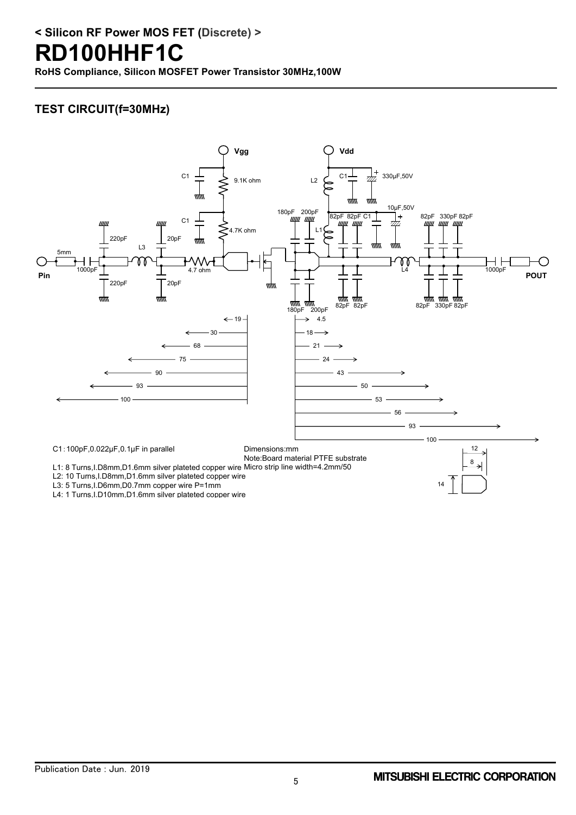# **< Silicon RF Power MOS FET (Discrete) >**

# **RD100HHF1C**

**RoHS Compliance, Silicon MOSFET Power Transistor 30MHz,100W**

## **TEST CIRCUIT(f=30MHz)**

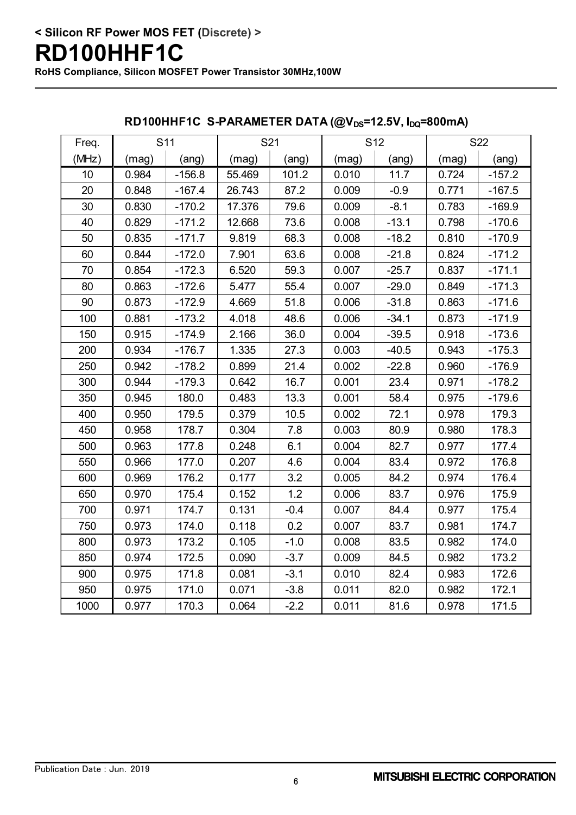| Freq. | S <sub>11</sub> |          | S21    |        | S <sub>12</sub> |         | S22   |          |
|-------|-----------------|----------|--------|--------|-----------------|---------|-------|----------|
| (MHz) | (mag)           | (ang)    | (mag)  | (ang)  | (mag)           | (ang)   | (mag) | (ang)    |
| 10    | 0.984           | $-156.8$ | 55.469 | 101.2  | 0.010           | 11.7    | 0.724 | $-157.2$ |
| 20    | 0.848           | $-167.4$ | 26.743 | 87.2   | 0.009           | $-0.9$  | 0.771 | $-167.5$ |
| 30    | 0.830           | $-170.2$ | 17.376 | 79.6   | 0.009           | $-8.1$  | 0.783 | $-169.9$ |
| 40    | 0.829           | $-171.2$ | 12.668 | 73.6   | 0.008           | $-13.1$ | 0.798 | $-170.6$ |
| 50    | 0.835           | $-171.7$ | 9.819  | 68.3   | 0.008           | $-18.2$ | 0.810 | $-170.9$ |
| 60    | 0.844           | $-172.0$ | 7.901  | 63.6   | 0.008           | $-21.8$ | 0.824 | $-171.2$ |
| 70    | 0.854           | $-172.3$ | 6.520  | 59.3   | 0.007           | $-25.7$ | 0.837 | $-171.1$ |
| 80    | 0.863           | $-172.6$ | 5.477  | 55.4   | 0.007           | $-29.0$ | 0.849 | $-171.3$ |
| 90    | 0.873           | $-172.9$ | 4.669  | 51.8   | 0.006           | $-31.8$ | 0.863 | $-171.6$ |
| 100   | 0.881           | $-173.2$ | 4.018  | 48.6   | 0.006           | $-34.1$ | 0.873 | $-171.9$ |
| 150   | 0.915           | $-174.9$ | 2.166  | 36.0   | 0.004           | $-39.5$ | 0.918 | $-173.6$ |
| 200   | 0.934           | $-176.7$ | 1.335  | 27.3   | 0.003           | $-40.5$ | 0.943 | $-175.3$ |
| 250   | 0.942           | $-178.2$ | 0.899  | 21.4   | 0.002           | $-22.8$ | 0.960 | $-176.9$ |
| 300   | 0.944           | $-179.3$ | 0.642  | 16.7   | 0.001           | 23.4    | 0.971 | $-178.2$ |
| 350   | 0.945           | 180.0    | 0.483  | 13.3   | 0.001           | 58.4    | 0.975 | $-179.6$ |
| 400   | 0.950           | 179.5    | 0.379  | 10.5   | 0.002           | 72.1    | 0.978 | 179.3    |
| 450   | 0.958           | 178.7    | 0.304  | 7.8    | 0.003           | 80.9    | 0.980 | 178.3    |
| 500   | 0.963           | 177.8    | 0.248  | 6.1    | 0.004           | 82.7    | 0.977 | 177.4    |
| 550   | 0.966           | 177.0    | 0.207  | 4.6    | 0.004           | 83.4    | 0.972 | 176.8    |
| 600   | 0.969           | 176.2    | 0.177  | 3.2    | 0.005           | 84.2    | 0.974 | 176.4    |
| 650   | 0.970           | 175.4    | 0.152  | 1.2    | 0.006           | 83.7    | 0.976 | 175.9    |
| 700   | 0.971           | 174.7    | 0.131  | $-0.4$ | 0.007           | 84.4    | 0.977 | 175.4    |
| 750   | 0.973           | 174.0    | 0.118  | 0.2    | 0.007           | 83.7    | 0.981 | 174.7    |
| 800   | 0.973           | 173.2    | 0.105  | $-1.0$ | 0.008           | 83.5    | 0.982 | 174.0    |
| 850   | 0.974           | 172.5    | 0.090  | $-3.7$ | 0.009           | 84.5    | 0.982 | 173.2    |
| 900   | 0.975           | 171.8    | 0.081  | $-3.1$ | 0.010           | 82.4    | 0.983 | 172.6    |
| 950   | 0.975           | 171.0    | 0.071  | $-3.8$ | 0.011           | 82.0    | 0.982 | 172.1    |
| 1000  | 0.977           | 170.3    | 0.064  | $-2.2$ | 0.011           | 81.6    | 0.978 | 171.5    |

### **RD100HHF1C S-PARAMETER DATA (@VDS=12.5V, IDQ=800mA)**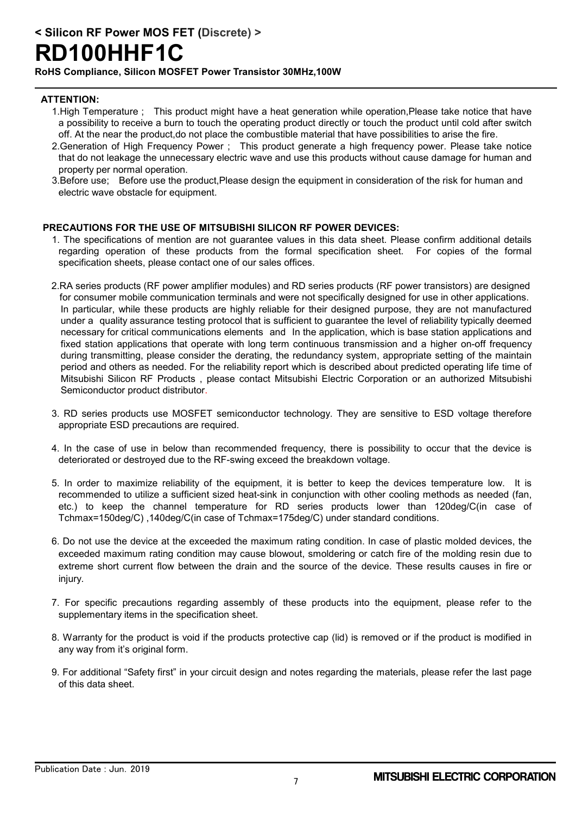**< Silicon RF Power MOS FET (Discrete) >**

## **RD100HHF1C**

**RoHS Compliance, Silicon MOSFET Power Transistor 30MHz,100W**

### **ATTENTION:**

- 1.High Temperature ; This product might have a heat generation while operation,Please take notice that have a possibility to receive a burn to touch the operating product directly or touch the product until cold after switch off. At the near the product,do not place the combustible material that have possibilities to arise the fire.
- 2.Generation of High Frequency Power ; This product generate a high frequency power. Please take notice that do not leakage the unnecessary electric wave and use this products without cause damage for human and property per normal operation.
- 3.Before use; Before use the product,Please design the equipment in consideration of the risk for human and electric wave obstacle for equipment.

### **PRECAUTIONS FOR THE USE OF MITSUBISHI SILICON RF POWER DEVICES:**

- 1. The specifications of mention are not guarantee values in this data sheet. Please confirm additional details regarding operation of these products from the formal specification sheet. For copies of the formal specification sheets, please contact one of our sales offices.
- 2.RA series products (RF power amplifier modules) and RD series products (RF power transistors) are designed for consumer mobile communication terminals and were not specifically designed for use in other applications. In particular, while these products are highly reliable for their designed purpose, they are not manufactured under a quality assurance testing protocol that is sufficient to guarantee the level of reliability typically deemed necessary for critical communications elements and In the application, which is base station applications and fixed station applications that operate with long term continuous transmission and a higher on-off frequency during transmitting, please consider the derating, the redundancy system, appropriate setting of the maintain period and others as needed. For the reliability report which is described about predicted operating life time of Mitsubishi Silicon RF Products , please contact Mitsubishi Electric Corporation or an authorized Mitsubishi Semiconductor product distributor.
- 3. RD series products use MOSFET semiconductor technology. They are sensitive to ESD voltage therefore appropriate ESD precautions are required.
- 4. In the case of use in below than recommended frequency, there is possibility to occur that the device is deteriorated or destroyed due to the RF-swing exceed the breakdown voltage.
- 5. In order to maximize reliability of the equipment, it is better to keep the devices temperature low. It is recommended to utilize a sufficient sized heat-sink in conjunction with other cooling methods as needed (fan, etc.) to keep the channel temperature for RD series products lower than 120deg/C(in case of Tchmax=150deg/C) ,140deg/C(in case of Tchmax=175deg/C) under standard conditions.
- 6. Do not use the device at the exceeded the maximum rating condition. In case of plastic molded devices, the exceeded maximum rating condition may cause blowout, smoldering or catch fire of the molding resin due to extreme short current flow between the drain and the source of the device. These results causes in fire or injury.
- 7. For specific precautions regarding assembly of these products into the equipment, please refer to the supplementary items in the specification sheet.
- 8. Warranty for the product is void if the products protective cap (lid) is removed or if the product is modified in any way from it's original form.
- 9. For additional "Safety first" in your circuit design and notes regarding the materials, please refer the last page of this data sheet.